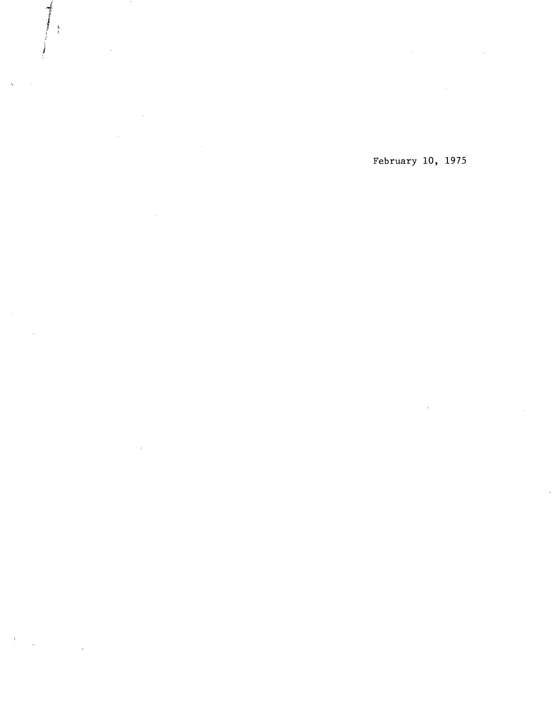$\bar{z}$ 

 $\sim$ 

 $\tilde{\mathbf{q}}$ 

 $\mathcal{L}$ 

 $\frac{1}{2} \frac{1}{2} \frac{1}{2}$ 

 $\label{eq:2.1} \mathcal{L}(\mathcal{L}(\mathcal{L})) = \mathcal{L}(\mathcal{L}(\mathcal{L})) = \mathcal{L}(\mathcal{L}(\mathcal{L}))$  $\sim$ 

### February 10, 1975

 $\hat{\mathcal{A}}$  $\mathcal{A}^{\mathcal{A}}$ 

 $\mathcal{L}$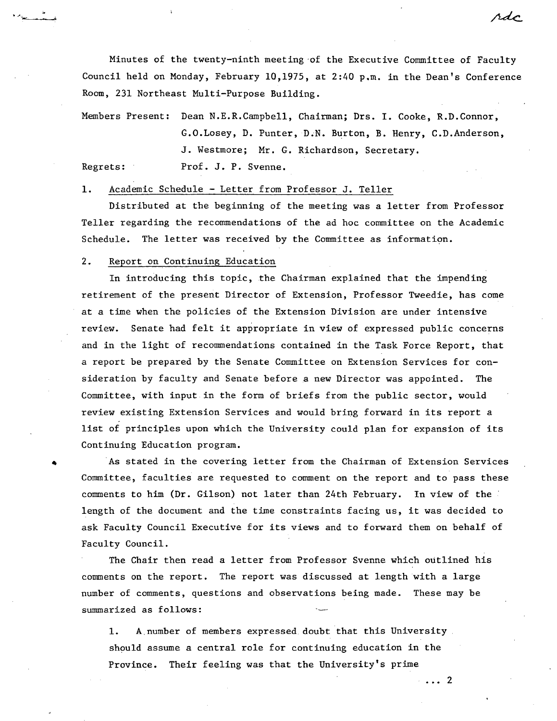Minutes of the twenty-ninth meeting of the Executive Committee of Faculty Council held on Monday, February 10,1975, at 2:40  $p.m.$  in the Dean's Conference Room, 231 Northeast Multi-Purpose Building.

Members Present: Dean N.E.R.Campbell, Chairman; Drs. I. Cooke, R.D.Connor, G.0.Losey, D. Punter, D.N. Burton, B. Henry, C.D.Anderson, J. Westmore; Mr. G. Richardson, Secretary. Regrets: Prof. J. P. Svenne.

1. Academic Schedule - Letter from Professor J. Teller

Distributed at the beginning of the meeting was a letter from Professor Teller regarding the recommendations of the ad hoc committee on the Academic Schedule. The letter was received by the Committee as information.

#### $2.$ Report on Continuing Education

In introducing this topic, the Chairman explained that the impending retirement of the present Director of Extension, Professor Tweedie, has come at a time when the policies of the Extension Division are under intensive review. Senate had felt it appropriate in view of expressed public concerns and in the light of recommendations contained in the Task Force Report, that a report be prepared by the Senate Committee on Extension Services for consideration by faculty and Senate before a new Director was appointed. The Committee, with input in the form of briefs from the public sector, would review existing Extension Services and would bring forward in its report a list of principles upon which the University could plan for expansion of its Continuing Education program.

As stated in the covering letter from the Chairman of Extension Services Committee, faculties are requested to comment on the report and to pass these comments to him (Dr. Gilson) not later than 24th February. In view of the length of the document and the time constraints facing us, it was decided to ask Faculty Council Executive for its views and to forward them on behalf of Faculty Council.

The Chair then read a letter from Professor Svenne which outlined his comments on the report. The report was discussed at length with a large number of comments, questions and observations being made. These may be summarized as follows:

1. A.number of members expressed. doubt that this University should assume a central role for continuing education in the Province. Their feeling was that the University's prime

rde

 $\cdots$  2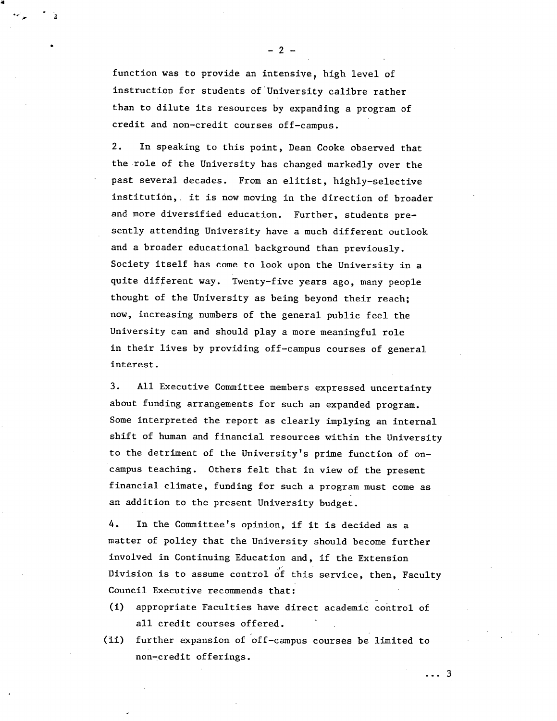function was to provide an intensive, high level of instruction for students of University calibre rather than to dilute its resources by expanding a program of credit and non-credit courses off-campus.

e

 $2.$ In speaking to this point, Dean Cooke observed that the role of the University has changed markedly over the past several decades. From an elitist, highly-selective institution,. it is now moving in the direction of broader and more diversified education. Further, students presently attending University have a much different outlook and a broader educational background than previously. Society itself has come to look upon the University in a quite different way. Twenty-five years ago, many people thought of the University as being beyond their reach; now, increasing numbers of the general public feel the University can and should play a more meaningful role in their lives by providing off-campus courses of general interest.

 $3.$ All Executive Committee members expressed uncertainty about funding arrangements for such an expanded program. Some interpreted the report as clearly implying an internal shift of human and financial resources within the University to the detriment of the University's prime function of oncampus teaching. Others felt that in view of the present financial climate, funding for such a program must come as an addition to the present University budget.

4. In the Committee's opinion, if it is decided as a matter of policy that the University should become further involved in Continuing Education and, if the Extension Division is to assume control of this service, then, Faculty Council Executive recommends that:

- $(i)$ appropriate Faculties have direct academic control of all credit courses offered.
- (ii) further expansion of off-campus courses be limited to non-credit offerings.

. . . 3

 $-2 -$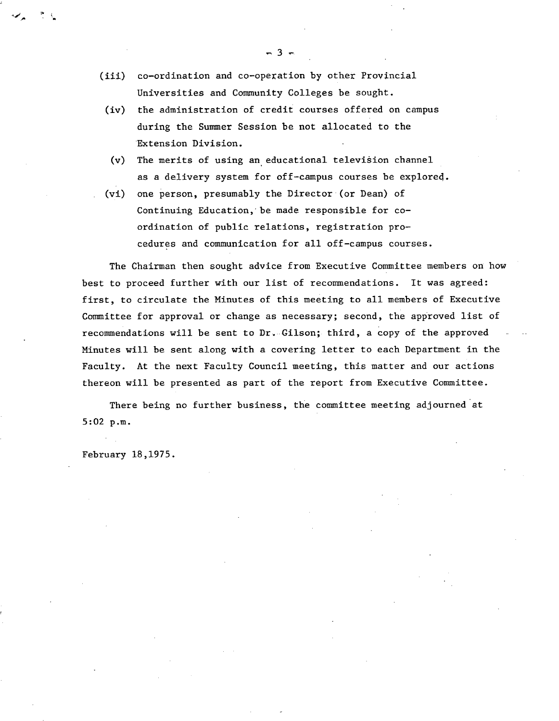- (iii) co-ordination and co-operation by other Provincial Universities and Community Colleges be sought.
- (iv) the administration of credit courses offered on campus during the Summer Session be not allocated to the Extension Division.
- (v) The merits of using an educational television channel as a delivery system for off-campus courses be explore4.
- one person, presumably the Director (or Dean) of  $(vi)$ Continuing Education, be made responsible for coordination of public relations, registration procedures and communication for all off-campus courses.

The Chairman then sought advice from Executive Committee members on how best to proceed further with our list of recommendations. It was agreed: first, to circulate the Minutes of this meeting to all members of Executive Committee for approval or change as necessary; second, the approved list of recommendations will be sent to Dr. Gilson; third, a copy of the approved Minutes will be sent along with a covering letter to each Department in the Faculty. At the next Faculty Council meeting, this matter and our actions thereon will be presented as part of the report from Executive Committee.

There being no further business, the committee meeting adjourned at 5:02 p.m.

February 18,1975.

 $-3-$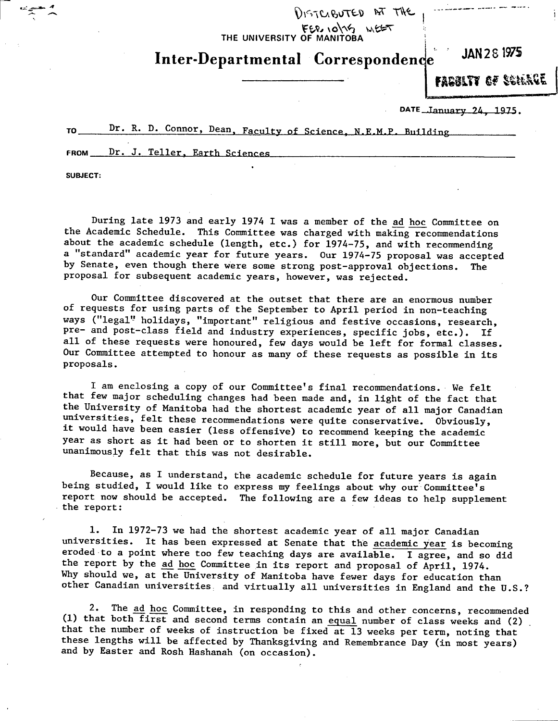THE UNIVERSITY OF MANITOBA

# **Inter-Departmental Lorrespondenqe JAN 28 1915**

DISTERNTED AT THE

FARRITY *of* Scher**ce** 

DATE Lanuary 24, 1975.

TO \_Dr. R. D. Connor, Dean, Faculty of Science, N.E.MP. Building

FROM Dr. J. Teller, Earth Sciences

**SUBJECT:** 

During late 1973 and early 1974 I was a member of the ad hoc Committee on the Academic Schedule. This Committee was charged with making recommendations about the academic schedule (length, etc.) for 1974-75, and with recommending a "standard" academic year for future years. Our 1974-75 proposal was accepted by Senate, even though there were some strong post-approval objections. The proposal for subsequent academic years, however, was rejected.

Our Committee discovered at the outset that there are an enormous number of requests for using parts of the September to April period in non-teaching ways ("legal" holidays, "important" religious and festive occasions, research, pre- and post-class field and industry experiences, specific jobs, etc.). If all of these requests were honoured, few days would be left for formal classes. Our Committee attempted to honour as many of these requests as possible in its proposals.

I am enclosing a copy of our Committee's final recommendations. We felt that few major scheduling changes had been made and, in light of the fact that the University of Manitoba had the shortest academic year of all major Canadian universities, felt these recommendations were quite conservative. Obviously, it would have been easier (less offensive) to recommend keeping the academic year as short as it had been or to shorten it still more, but our Committee unanimously felt that this was not desirable.

Because, as I understand, the academic schedule for future years is again being studied, I would like to express my feelings about why our Committee's report now should be accepted. The following are a few ideas to help supplement the report:

In 1972-73 we had the shortest academic year of all major Canadian universities. It has been expressed at Senate that the academic year is becoming eroded to a point where too few teaching days are available. I agree, and so did the report by the ad hoc Committee in its report and proposal of April, 1974. Why should we, at the University of Manitoba have fewer days for education than other Canadian universities, and virtually all universities in England and the U.S.?

 $2.$ The ad hoc Committee, in responding to this and other concerns, recommended (1) that both first and second terms contain an equal number of class weeks and (2) that the number of weeks of instruction be fixed at 13 weeks per term, noting that these lengths will be affected by Thanksgiving and Remembrance Day (in most years) and by Easter and Rosh Hashanah (on occasion).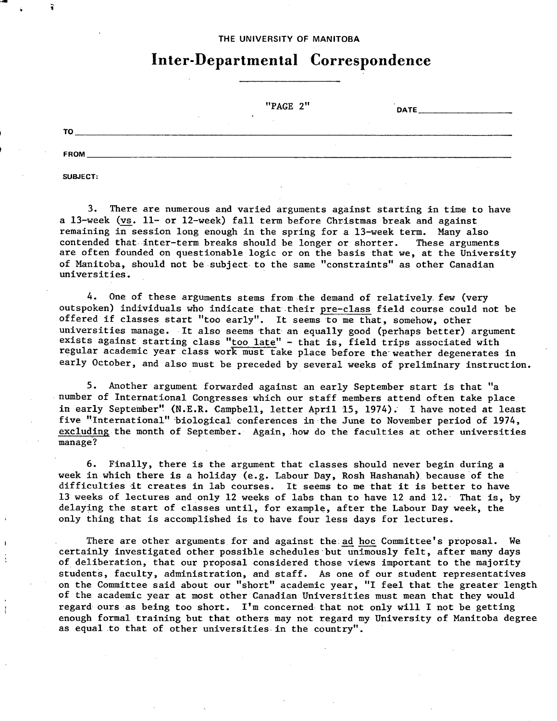### THE UNIVERSITY **OF MANITOBA**

### **Inter-Departmental Correspondence**

|             | "PAGE 2" | <b>DATE</b> |
|-------------|----------|-------------|
| TO          |          |             |
| <b>FROM</b> |          |             |

**SUBJECT:** 

There are numerous and varied arguments against starting in time to have a 13-week **(vs.** 11- **or** 12-week) fall term before Christmas break and against remaining in session long enough in the spring for a 13-week term. Many also contended that inter-term breaks should be longer or shorter. These arguments are often founded on questionable logic or on the basis that we, at the University of Manitoba, should not be subject to the same "constraints" as other Canadian universities.

 $4.$ One of these arguments stems from the demand of relatively few (very outspoken) individuals who indicate that their pre-class field course could not be offered if classes start "too early". It seems to me that, somehow, other universities manage. . It also seems that an equally good (perhaps better) argument exists against starting class "too late" - that **is,** field trips associated with regular academic year class work must take place before the weather degenerates in early October, and also must be preceded by several weeks of preliminary instruction.

5. Another argument forwarded against an early September start is that "a number of International Congresses which our staff members attend often take place in early September" (N.E.R. Campbell, letter April 15, 1974). I have noted at least five "International" biological conferences in the June to November period of 1974, excluding the month of September. Again, how do the faculties at other universities manage?

6. Finally, there is the argument that classes should never begin during a week in which there is a holiday (e.g. Labour Day, Rosh Hashanah) because of the difficulties it creates in lab courses. It seems to me that it is better to have 13 weeks of lectures and only 12 weeks of labs than to have 12 and 12. That **is,** by delaying the start of classes until, for example, after the Labour Day week, the only thing that is accomplished is to have four less days for lectures.

There are other arguments for and against the ad hoc Committee's proposal. We certainly investigated other possible schedules but unimously felt, after many days of deliberation, that our proposal considered those views important to the majority students, faculty, administration, and staff. As one of our student representatives on the Committee said about our "short" academic year, "I feel that the greater length of the academic year at most other Canadian Universities must mean that they would regard ours as being too short. I'm concerned, that not only will I not be getting enough formal training but that others may not regard my University of Manitoba degree as equal to that of other universities in the country".